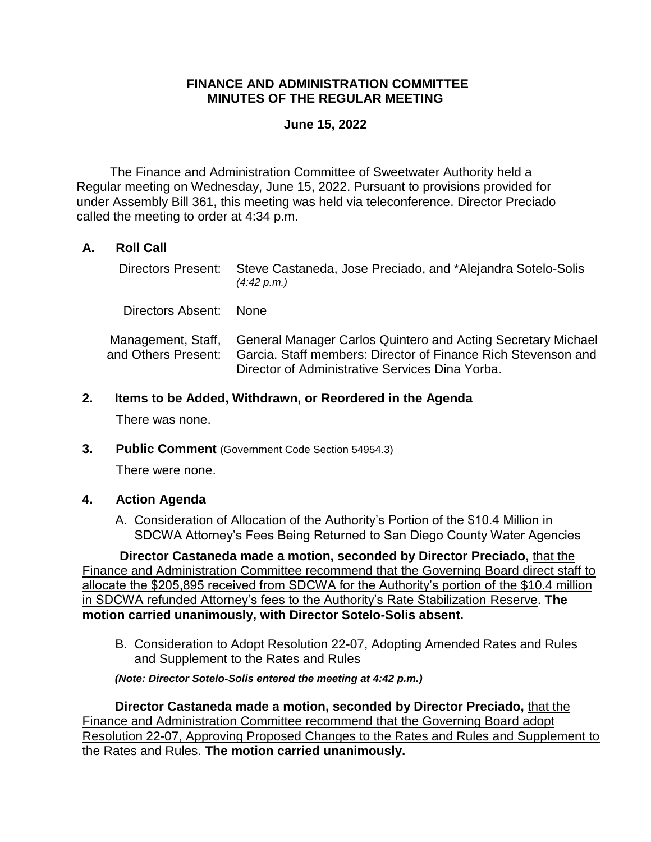# **FINANCE AND ADMINISTRATION COMMITTEE MINUTES OF THE REGULAR MEETING**

#### **June 15, 2022**

The Finance and Administration Committee of Sweetwater Authority held a Regular meeting on Wednesday, June 15, 2022. Pursuant to provisions provided for under Assembly Bill 361, this meeting was held via teleconference. Director Preciado called the meeting to order at 4:34 p.m.

# **A. Roll Call**

| Directors Present:                        | Steve Castaneda, Jose Preciado, and *Alejandra Sotelo-Solis<br>(4.42 p.m.)                                                                                                              |
|-------------------------------------------|-----------------------------------------------------------------------------------------------------------------------------------------------------------------------------------------|
| Directors Absent:                         | <b>None</b>                                                                                                                                                                             |
| Management, Staff,<br>and Others Present: | <b>General Manager Carlos Quintero and Acting Secretary Michael</b><br>Garcia. Staff members: Director of Finance Rich Stevenson and<br>Director of Administrative Services Dina Yorba. |

**2. Items to be Added, Withdrawn, or Reordered in the Agenda**

There was none.

**3. Public Comment** (Government Code Section 54954.3)

There were none.

- **4. Action Agenda**
	- A. Consideration of Allocation of the Authority's Portion of the \$10.4 Million in SDCWA Attorney's Fees Being Returned to San Diego County Water Agencies

**Director Castaneda made a motion, seconded by Director Preciado,** that the Finance and Administration Committee recommend that the Governing Board direct staff to allocate the \$205,895 received from SDCWA for the Authority's portion of the \$10.4 million in SDCWA refunded Attorney's fees to the Authority's Rate Stabilization Reserve. **The motion carried unanimously, with Director Sotelo-Solis absent.**

B. Consideration to Adopt Resolution 22-07, Adopting Amended Rates and Rules and Supplement to the Rates and Rules

*(Note: Director Sotelo-Solis entered the meeting at 4:42 p.m.)*

**Director Castaneda made a motion, seconded by Director Preciado,** that the Finance and Administration Committee recommend that the Governing Board adopt Resolution 22-07, Approving Proposed Changes to the Rates and Rules and Supplement to the Rates and Rules. **The motion carried unanimously.**